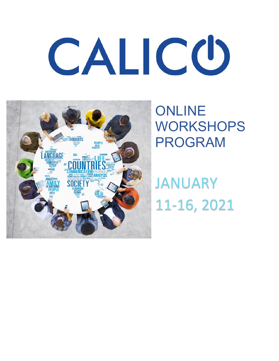# CALICO



**ONLINE** WORKSHOPS PROGRAM

JANUARY 11-16, 2021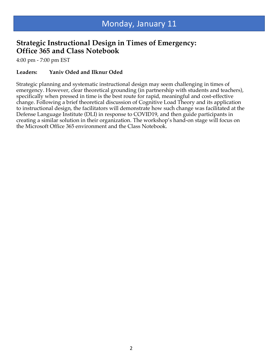## **Strategic Instructional Design in Times of Emergency: Office 365 and Class Notebook**

4:00 pm - 7:00 pm EST

#### **Leaders: Yaniv Oded and Ilknur Oded**

Strategic planning and systematic instructional design may seem challenging in times of emergency. However, clear theoretical grounding (in partnership with students and teachers), specifically when pressed in time is the best route for rapid, meaningful and cost-effective change. Following a brief theoretical discussion of Cognitive Load Theory and its application to instructional design, the facilitators will demonstrate how such change was facilitated at the Defense Language Institute (DLI) in response to COVID19, and then guide participants in creating a similar solution in their organization. The workshop's hand-on stage will focus on the Microsoft Office 365 environment and the Class Notebook.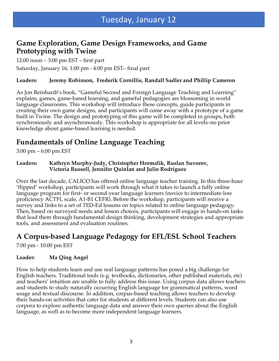## **Game Exploration, Game Design Frameworks, and Game Prototyping with Twine**

12:00 noon – 3:00 pm EST – first part Saturday, January 16, 1:00 pm - 4:00 pm EST– final part

#### **Leaders: Jeremy Robinson, Frederik Cornillie, Randall Sadler and Phillip Cameron**

As Jon Reinhardt's book, "Gameful Second and Foreign Language Teaching and Learning" explains, games, game-based learning, and gameful pedagogies are blossoming in world language classrooms. This workshop will introduce these concepts, guide participants in creating their own game designs, and participants will come away with a prototype of a game built in Twine. The design and prototyping of this game will be completed in groups, both synchronously and asynchronously. This workshop is appropriate for all levels–no prior knowledge about game-based learning is needed.

# **Fundamentals of Online Language Teaching**

3:00 pm – 6:00 pm EST

**Leaders: Kathryn Murphy-Judy, Christopher Hromalik, Ruslan Suvorov, Victoria Russell, Jennifer Quinlan and Julio Rodriguez**

Over the last decade, CALICO has offered online language teacher training. In this three-hour 'flipped' workshop, participants will work through what it takes to launch a fully online language program for first- or second-year language learners (novice to intermediate-low proficiency ACTFL scale, A1-B1 CEFR). Before the workshop, participants will receive a survey and links to a set of TED-Ed lessons on topics related to online language pedagogy. Then, based on surveyed needs and lesson choices, participants will engage in hands-on tasks that lead them through fundamental design thinking, development strategies and appropriate tools, and assessment and evaluation routines.

# **A Corpus-based Language Pedagogy for EFL/ESL School Teachers**

7:00 pm - 10:00 pm EST

#### **Leader: Ma Qing Angel**

How to help students learn and use real language patterns has posed a big challenge for English teachers. Traditional tools (e.g. textbooks, dictionaries, other published materials, etc) and teachers' intuition are unable to fully address this issue. Using corpus data allows teachers and students to study naturally occurring English language for grammatical patterns, word usage and textual discourse. In addition, corpus-based teaching allows teachers to develop their hands-on activities that cater for students at different levels. Students can also use corpora to explore authentic language data and answer their own queries about the English language, as well as to become more independent language learners.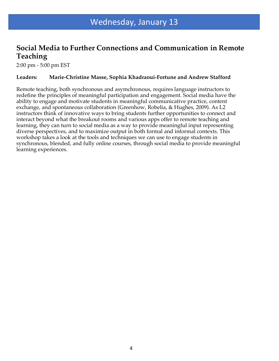## **Social Media to Further Connections and Communication in Remote Teaching**

2:00 pm - 5:00 pm EST

#### **Leaders: Marie-Christine Masse, Sophia Khadraoui-Fortune and Andrew Stafford**

Remote teaching, both synchronous and asymchronous, requires language instructors to redefine the principles of meaningful participation and engagement. Social media have the ability to engage and motivate students in meaningful communicative practice, content exchange, and spontaneous collaboration (Greenhow, Robelia, & Hughes, 2009). As L2 instructors think of innovative ways to bring students further opportunities to connect and interact beyond what the breakout rooms and various apps offer to remote teaching and learning, they can turn to social media as a way to provide meaningful input representing diverse perspectives, and to maximize output in both formal and informal contexts. This workshop takes a look at the tools and techniques we can use to engage students in synchronous, blended, and fully online courses, through social media to provide meaningful learning experiences.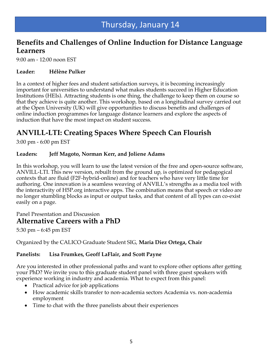## **Benefits and Challenges of Online Induction for Distance Language Learners**

9:00 am - 12:00 noon EST

#### **Leader: Hélène Pulker**

In a context of higher fees and student satisfaction surveys, it is becoming increasingly important for universities to understand what makes students succeed in Higher Education Institutions (HEIs). Attracting students is one thing, the challenge to keep them on course so that they achieve is quite another. This workshop, based on a longitudinal survey carried out at the Open University (UK) will give opportunities to discuss benefits and challenges of online induction programmes for language distance learners and explore the aspects of induction that have the most impact on student success.

# **ANVILL-LTI: Creating Spaces Where Speech Can Flourish**

3:00 pm - 6:00 pm EST

#### **Leaders: Jeff Magoto, Norman Kerr, and Joliene Adams**

In this workshop, you will learn to use the latest version of the free and open-source software, ANVILL-LTI. This new version, rebuilt from the ground up, is optimized for pedagogical contexts that are fluid (F2F-hybrid-online) and for teachers who have very little time for authoring. One innovation is a seamless weaving of ANVILL's strengths as a media tool with the interactivity of H5P.org interactive apps. The combination means that speech or video are no longer stumbling blocks as input or output tasks, and that content of all types can co-exist easily on a page.

### Panel Presentation and Discussion **Alternative Careers with a PhD**

5:30 pm – 6:45 pm EST

Organized by the CALICO Graduate Student SIG, **Maria Diez Ortega, Chair**

#### **Panelists: Lisa Frumkes, Geoff LaFlair, and Scott Payne**

Are you interested in other professional paths and want to explore other options after getting your PhD? We invite you to this graduate student panel with three guest speakers with experience working in industry and academia. What to expect from this panel:

- Practical advice for job applications
- How academic skills transfer to non-academia sectors Academia vs. non-academia employment
- Time to chat with the three panelists about their experiences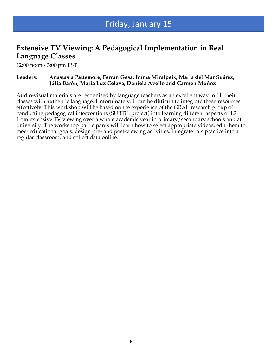# Friday, January 15

## **Extensive TV Viewing: A Pedagogical Implementation in Real Language Classes**

12:00 noon - 3:00 pm EST

#### **Leaders: Anastasia Pattemore, Ferran Gesa, Imma Miralpeix, Maria del Mar Suárez, Júlia Barón, Maria Luz Celaya, Daniela Avello and Carmen Muñoz**

Audio-visual materials are recognised by language teachers as an excellent way to fill their classes with authentic language. Unfortunately, it can be difficult to integrate these resources effectively. This workshop will be based on the experience of the GRAL research group of conducting pedagogical interventions (SUBTiL project) into learning different aspects of L2 from extensive TV viewing over a whole academic year in primary/secondary schools and at university. The workshop participants will learn how to select appropriate videos, edit them to meet educational goals, design pre- and post-viewing activities, integrate this practice into a regular classroom, and collect data online.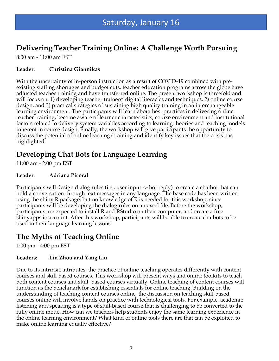# **Delivering Teacher Training Online: A Challenge Worth Pursuing**

8:00 am - 11:00 am EST

#### **Leader: Christina Giannikas**

With the uncertainty of in-person instruction as a result of COVID-19 combined with preexisting staffing shortages and budget cuts, teacher education programs across the globe have adjusted teacher training and have transferred online. The present workshop is threefold and will focus on: 1) developing teacher trainers' digital literacies and techniques, 2) online course design, and 3) practical strategies of sustaining high quality training in an interchangeable learning environment. The participants will learn about best practices in delivering online teacher training, become aware of learner characteristics, course environment and institutional factors related to delivery system variables according to learning theories and teaching models inherent in course design. Finally, the workshop will give participants the opportunity to discuss the potential of online learning/training and identify key issues that the crisis has highlighted.

# **Developing Chat Bots for Language Learning**

11:00 am - 2:00 pm EST

#### **Leader: Adriana Picoral**

Participants will design dialog rules (i.e., user input -> bot reply) to create a chatbot that can hold a conversation through text messages in any language. The base code has been written using the shiny R package, but no knowledge of R is needed for this workshop, since participants will be developing the dialog rules on an excel file. Before the workshop, participants are expected to install R and RStudio on their computer, and create a free shinyapps.io account. After this workshop, participants will be able to create chatbots to be used in their language learning lessons.

## **The Myths of Teaching Online**

1:00 pm - 4:00 pm EST

#### **Leaders: Lin Zhou and Yang Liu**

Due to its intrinsic attributes, the practice of online teaching operates differently with content courses and skill-based courses. This workshop will present ways and online toolkits to teach both content courses and skill- based courses virtually. Online teaching of content courses will function as the benchmark for establishing essentials for online teaching. Building on the understanding of teaching content courses online, the discussion on teaching skill-based courses online will involve hands-on practice with technological tools. For example, academic listening and speaking is a type of skill-based course that is challenging to be converted to the fully online mode. How can we teachers help students enjoy the same learning experience in the online learning environment? What kind of online tools there are that can be exploited to make online learning equally effective?